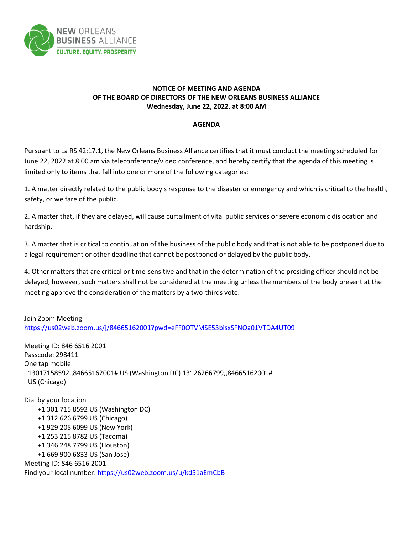

## **NOTICE OF MEETING AND AGENDA OF THE BOARD OF DIRECTORS OF THE NEW ORLEANS BUSINESS ALLIANCE Wednesday, June 22, 2022, at 8:00 AM**

## **AGENDA**

Pursuant to La RS 42:17.1, the New Orleans Business Alliance certifies that it must conduct the meeting scheduled for June 22, 2022 at 8:00 am via teleconference/video conference, and hereby certify that the agenda of this meeting is limited only to items that fall into one or more of the following categories:

1. A matter directly related to the public body's response to the disaster or emergency and which is critical to the health, safety, or welfare of the public.

2. A matter that, if they are delayed, will cause curtailment of vital public services or severe economic dislocation and hardship.

3. A matter that is critical to continuation of the business of the public body and that is not able to be postponed due to a legal requirement or other deadline that cannot be postponed or delayed by the public body.

4. Other matters that are critical or time-sensitive and that in the determination of the presiding officer should not be delayed; however, such matters shall not be considered at the meeting unless the members of the body present at the meeting approve the consideration of the matters by a two-thirds vote.

Join Zoom Meeting <https://us02web.zoom.us/j/84665162001?pwd=eFF0OTVMSE53bisxSFNQa01VTDA4UT09>

Meeting ID: 846 6516 2001 Passcode: 298411 One tap mobile +13017158592,,84665162001# US (Washington DC) 13126266799,,84665162001# +US (Chicago)

Dial by your location +1 301 715 8592 US (Washington DC) +1 312 626 6799 US (Chicago) +1 929 205 6099 US (New York) +1 253 215 8782 US (Tacoma) +1 346 248 7799 US (Houston) +1 669 900 6833 US (San Jose) Meeting ID: 846 6516 2001 Find your local number[: https://us02web.zoom.us/u/kd51aEmCbB](https://us02web.zoom.us/u/kd51aEmCbB)